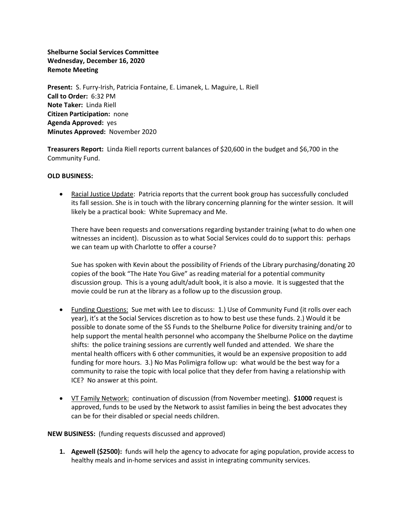**Shelburne Social Services Committee Wednesday, December 16, 2020 Remote Meeting**

**Present:** S. Furry-Irish, Patricia Fontaine, E. Limanek, L. Maguire, L. Riell **Call to Order:** 6:32 PM **Note Taker:** Linda Riell **Citizen Participation:** none **Agenda Approved:** yes **Minutes Approved:** November 2020

**Treasurers Report:** Linda Riell reports current balances of \$20,600 in the budget and \$6,700 in the Community Fund.

## **OLD BUSINESS:**

• Racial Justice Update: Patricia reports that the current book group has successfully concluded its fall session. She is in touch with the library concerning planning for the winter session. It will likely be a practical book: White Supremacy and Me.

There have been requests and conversations regarding bystander training (what to do when one witnesses an incident). Discussion as to what Social Services could do to support this: perhaps we can team up with Charlotte to offer a course?

Sue has spoken with Kevin about the possibility of Friends of the Library purchasing/donating 20 copies of the book "The Hate You Give" as reading material for a potential community discussion group. This is a young adult/adult book, it is also a movie. It is suggested that the movie could be run at the library as a follow up to the discussion group.

- Funding Questions: Sue met with Lee to discuss: 1.) Use of Community Fund (it rolls over each year), it's at the Social Services discretion as to how to best use these funds. 2.) Would it be possible to donate some of the SS Funds to the Shelburne Police for diversity training and/or to help support the mental health personnel who accompany the Shelburne Police on the daytime shifts: the police training sessions are currently well funded and attended. We share the mental health officers with 6 other communities, it would be an expensive proposition to add funding for more hours. 3.) No Mas Polimigra follow up: what would be the best way for a community to raise the topic with local police that they defer from having a relationship with ICE? No answer at this point.
- VT Family Network: continuation of discussion (from November meeting). **\$1000** request is approved, funds to be used by the Network to assist families in being the best advocates they can be for their disabled or special needs children.

## **NEW BUSINESS:** (funding requests discussed and approved)

**1. Agewell (\$2500):** funds will help the agency to advocate for aging population, provide access to healthy meals and in-home services and assist in integrating community services.